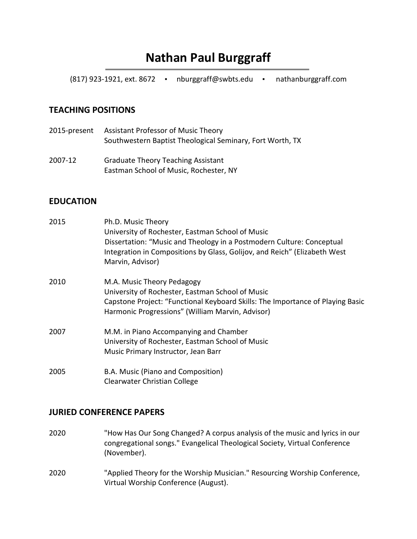## **Nathan Paul Burggraff**

(817) 923-1921, ext. 8672 ▪ nburggraff@swbts.edu ▪ nathanburggraff.com

#### **TEACHING POSITIONS**

- 2015-present Assistant Professor of Music Theory Southwestern Baptist Theological Seminary, Fort Worth, TX
- 2007-12 Graduate Theory Teaching Assistant Eastman School of Music, Rochester, NY

#### **EDUCATION**

| 2015 | Ph.D. Music Theory                                                             |
|------|--------------------------------------------------------------------------------|
|      | University of Rochester, Eastman School of Music                               |
|      | Dissertation: "Music and Theology in a Postmodern Culture: Conceptual          |
|      | Integration in Compositions by Glass, Golijov, and Reich" (Elizabeth West      |
|      | Marvin, Advisor)                                                               |
| 2010 | M.A. Music Theory Pedagogy                                                     |
|      | University of Rochester, Eastman School of Music                               |
|      | Capstone Project: "Functional Keyboard Skills: The Importance of Playing Basic |
|      | Harmonic Progressions" (William Marvin, Advisor)                               |
| 2007 | M.M. in Piano Accompanying and Chamber                                         |
|      | University of Rochester, Eastman School of Music                               |
|      | Music Primary Instructor, Jean Barr                                            |
| 2005 | B.A. Music (Piano and Composition)                                             |
|      | Clearwater Christian College                                                   |

# **JURIED CONFERENCE PAPERS**

- 2020 "How Has Our Song Changed? A corpus analysis of the music and lyrics in our congregational songs." Evangelical Theological Society, Virtual Conference (November).
- 2020 "Applied Theory for the Worship Musician." Resourcing Worship Conference, Virtual Worship Conference (August).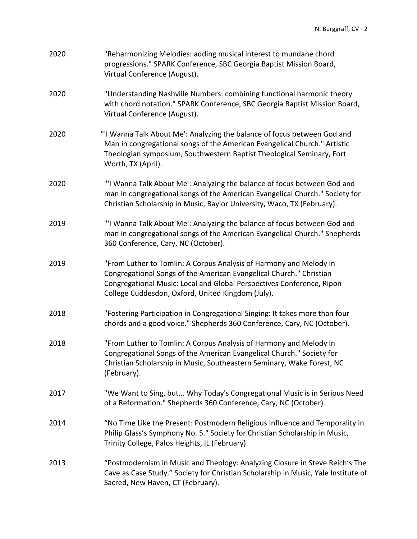| 2020 | "Reharmonizing Melodies: adding musical interest to mundane chord<br>progressions." SPARK Conference, SBC Georgia Baptist Mission Board,<br>Virtual Conference (August).                                                                                                |
|------|-------------------------------------------------------------------------------------------------------------------------------------------------------------------------------------------------------------------------------------------------------------------------|
| 2020 | "Understanding Nashville Numbers: combining functional harmonic theory<br>with chord notation." SPARK Conference, SBC Georgia Baptist Mission Board,<br>Virtual Conference (August).                                                                                    |
| 2020 | "'I Wanna Talk About Me': Analyzing the balance of focus between God and<br>Man in congregational songs of the American Evangelical Church." Artistic<br>Theologian symposium, Southwestern Baptist Theological Seminary, Fort<br>Worth, TX (April).                    |
| 2020 | "'I Wanna Talk About Me': Analyzing the balance of focus between God and<br>man in congregational songs of the American Evangelical Church." Society for<br>Christian Scholarship in Music, Baylor University, Waco, TX (February).                                     |
| 2019 | "'I Wanna Talk About Me': Analyzing the balance of focus between God and<br>man in congregational songs of the American Evangelical Church." Shepherds<br>360 Conference, Cary, NC (October).                                                                           |
| 2019 | "From Luther to Tomlin: A Corpus Analysis of Harmony and Melody in<br>Congregational Songs of the American Evangelical Church." Christian<br>Congregational Music: Local and Global Perspectives Conference, Ripon<br>College Cuddesdon, Oxford, United Kingdom (July). |
| 2018 | "Fostering Participation in Congregational Singing: It takes more than four<br>chords and a good voice." Shepherds 360 Conference, Cary, NC (October).                                                                                                                  |
| 2018 | "From Luther to Tomlin: A Corpus Analysis of Harmony and Melody in<br>Congregational Songs of the American Evangelical Church." Society for<br>Christian Scholarship in Music, Southeastern Seminary, Wake Forest, NC<br>(February).                                    |
| 2017 | "We Want to Sing, but Why Today's Congregational Music is in Serious Need<br>of a Reformation." Shepherds 360 Conference, Cary, NC (October).                                                                                                                           |
| 2014 | "No Time Like the Present: Postmodern Religious Influence and Temporality in<br>Philip Glass's Symphony No. 5." Society for Christian Scholarship in Music,<br>Trinity College, Palos Heights, IL (February).                                                           |
| 2013 | "Postmodernism in Music and Theology: Analyzing Closure in Steve Reich's The<br>Cave as Case Study." Society for Christian Scholarship in Music, Yale Institute of<br>Sacred, New Haven, CT (February).                                                                 |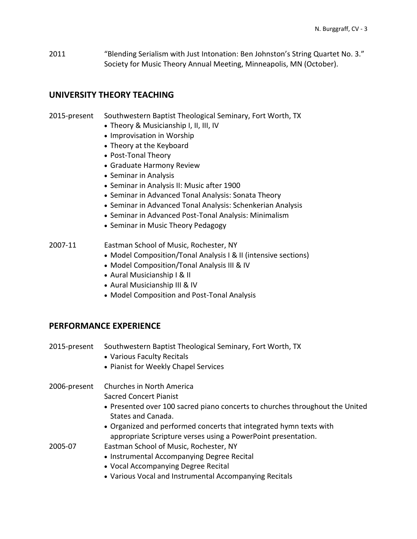2011 "Blending Serialism with Just Intonation: Ben Johnston's String Quartet No. 3." Society for Music Theory Annual Meeting, Minneapolis, MN (October).

#### **UNIVERSITY THEORY TEACHING**

#### 2015-present Southwestern Baptist Theological Seminary, Fort Worth, TX

- Theory & Musicianship I, II, III, IV
- Improvisation in Worship
- Theory at the Keyboard
- Post-Tonal Theory
- Graduate Harmony Review
- Seminar in Analysis
- Seminar in Analysis II: Music after 1900
- Seminar in Advanced Tonal Analysis: Sonata Theory
- Seminar in Advanced Tonal Analysis: Schenkerian Analysis
- Seminar in Advanced Post-Tonal Analysis: Minimalism
- Seminar in Music Theory Pedagogy
- 2007-11 Eastman School of Music, Rochester, NY
	- Model Composition/Tonal Analysis I & II (intensive sections)
	- Model Composition/Tonal Analysis III & IV
	- Aural Musicianship I & II
	- Aural Musicianship III & IV
	- Model Composition and Post-Tonal Analysis

#### **PERFORMANCE EXPERIENCE**

| 2015-present | Southwestern Baptist Theological Seminary, Fort Worth, TX<br>• Various Faculty Recitals<br>• Pianist for Weekly Chapel Services |
|--------------|---------------------------------------------------------------------------------------------------------------------------------|
| 2006-present | Churches in North America                                                                                                       |
|              | <b>Sacred Concert Pianist</b>                                                                                                   |
|              | • Presented over 100 sacred piano concerts to churches throughout the United<br>States and Canada.                              |
|              | • Organized and performed concerts that integrated hymn texts with                                                              |
|              | appropriate Scripture verses using a PowerPoint presentation.                                                                   |
| 2005-07      | Eastman School of Music, Rochester, NY                                                                                          |
|              | • Instrumental Accompanying Degree Recital                                                                                      |
|              | • Vocal Accompanying Degree Recital                                                                                             |
|              | • Various Vocal and Instrumental Accompanying Recitals                                                                          |